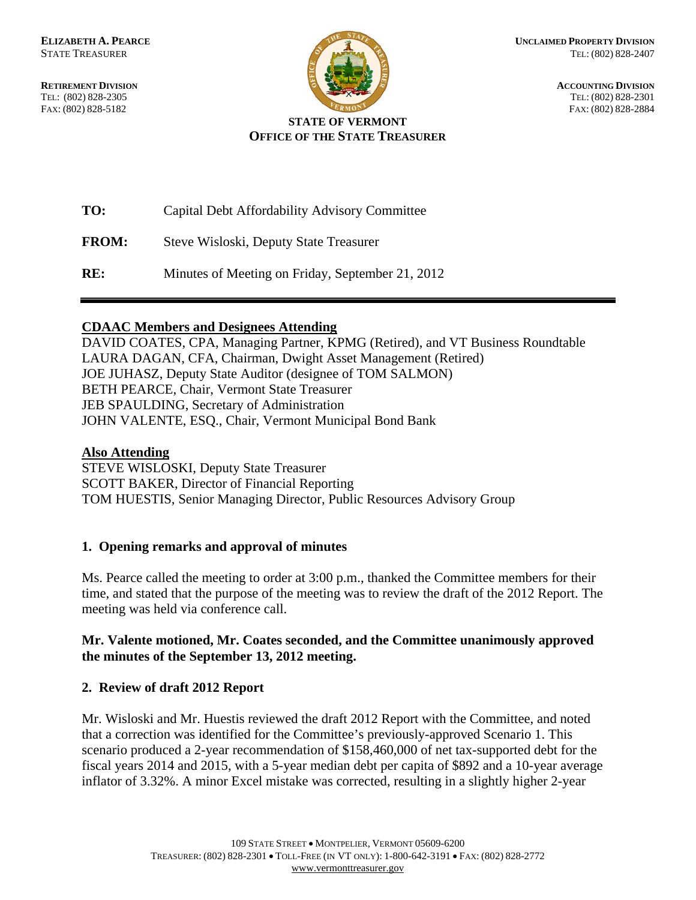TEL: (802) 828-2305 TEL: (802) 828-2301



**RETIREMENT DIVISION ACCOUNTING DIVISION** FAX: (802) 828-5182 FAX: (802) 828-2884

# **STATE OF VERMONT OFFICE OF THE STATE TREASURER**

| TO: | Capital Debt Affordability Advisory Committee |
|-----|-----------------------------------------------|
|     |                                               |

**FROM:** Steve Wisloski, Deputy State Treasurer

**RE:** Minutes of Meeting on Friday, September 21, 2012

#### **CDAAC Members and Designees Attending**

DAVID COATES, CPA, Managing Partner, KPMG (Retired), and VT Business Roundtable LAURA DAGAN, CFA, Chairman, Dwight Asset Management (Retired) JOE JUHASZ, Deputy State Auditor (designee of TOM SALMON) BETH PEARCE, Chair, Vermont State Treasurer JEB SPAULDING, Secretary of Administration JOHN VALENTE, ESQ., Chair, Vermont Municipal Bond Bank

### **Also Attending**

STEVE WISLOSKI, Deputy State Treasurer SCOTT BAKER, Director of Financial Reporting TOM HUESTIS, Senior Managing Director, Public Resources Advisory Group

# **1. Opening remarks and approval of minutes**

Ms. Pearce called the meeting to order at 3:00 p.m., thanked the Committee members for their time, and stated that the purpose of the meeting was to review the draft of the 2012 Report. The meeting was held via conference call.

#### **Mr. Valente motioned, Mr. Coates seconded, and the Committee unanimously approved the minutes of the September 13, 2012 meeting.**

# **2. Review of draft 2012 Report**

Mr. Wisloski and Mr. Huestis reviewed the draft 2012 Report with the Committee, and noted that a correction was identified for the Committee's previously-approved Scenario 1. This scenario produced a 2-year recommendation of \$158,460,000 of net tax-supported debt for the fiscal years 2014 and 2015, with a 5-year median debt per capita of \$892 and a 10-year average inflator of 3.32%. A minor Excel mistake was corrected, resulting in a slightly higher 2-year